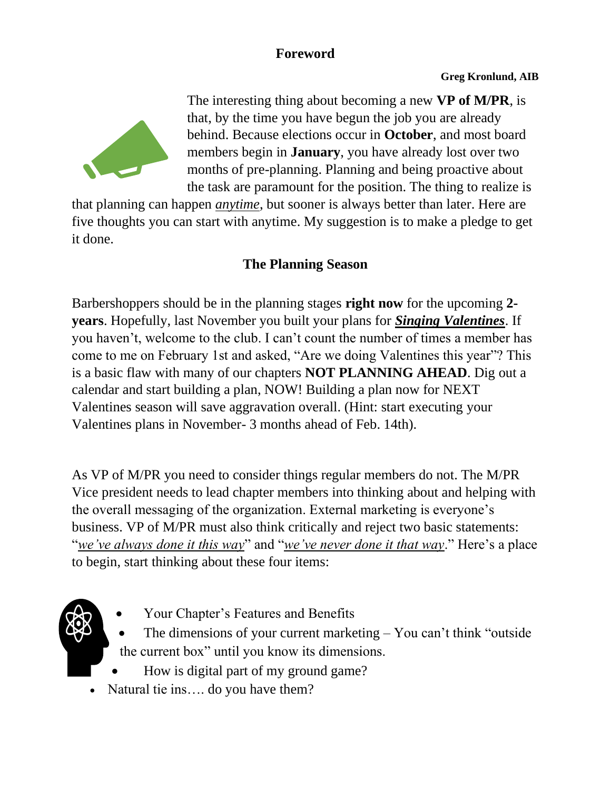## **Foreword**



The interesting thing about becoming a new **VP of M/PR**, is that, by the time you have begun the job you are already behind. Because elections occur in **October**, and most board members begin in **January**, you have already lost over two months of pre-planning. Planning and being proactive about the task are paramount for the position. The thing to realize is

that planning can happen *anytime*, but sooner is always better than later. Here are five thoughts you can start with anytime. My suggestion is to make a pledge to get it done.

## **The Planning Season**

Barbershoppers should be in the planning stages **right now** for the upcoming **2 years**. Hopefully, last November you built your plans for *Singing Valentines*. If you haven't, welcome to the club. I can't count the number of times a member has come to me on February 1st and asked, "Are we doing Valentines this year"? This is a basic flaw with many of our chapters **NOT PLANNING AHEAD**. Dig out a calendar and start building a plan, NOW! Building a plan now for NEXT Valentines season will save aggravation overall. (Hint: start executing your Valentines plans in November- 3 months ahead of Feb. 14th).

As VP of M/PR you need to consider things regular members do not. The M/PR Vice president needs to lead chapter members into thinking about and helping with the overall messaging of the organization. External marketing is everyone's business. VP of M/PR must also think critically and reject two basic statements: "*we've always done it this way*" and "*we've never done it that way*." Here's a place to begin, start thinking about these four items:

- 
- [Your Chapter's Features and Benefits](https://www.dropbox.com/sh/pdfcr7h0kf1i4tt/AAB_GaM-0ACz-M3FNPvy40Pma?dl=0)
- The dimensions of your current marketing  $-$  You can't think "outside" the current box" until you know its dimensions.
- How is digital part of my ground game?
- Natural tie ins.... do you have them?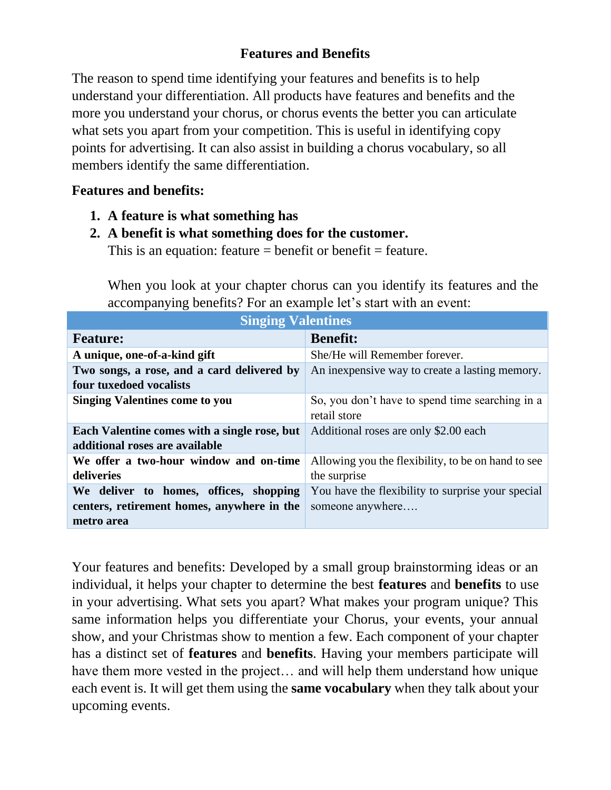### **Features and Benefits**

The reason to spend time identifying your features and benefits is to help understand your differentiation. All products have features and benefits and the more you understand your chorus, or chorus events the better you can articulate what sets you apart from your competition. This is useful in identifying copy points for advertising. It can also assist in building a chorus vocabulary, so all members identify the same differentiation.

#### **Features and benefits:**

- **1. A feature is what something has**
- **2. A benefit is what something does for the customer.**

This is an equation: feature  $=$  benefit or benefit  $=$  feature.

When you look at your chapter chorus can you identify its features and the accompanying benefits? For an example let's start with an event:

| <b>Singing Valentines</b>                    |                                                    |
|----------------------------------------------|----------------------------------------------------|
| <b>Feature:</b>                              | <b>Benefit:</b>                                    |
| A unique, one-of-a-kind gift                 | She/He will Remember forever.                      |
| Two songs, a rose, and a card delivered by   | An inexpensive way to create a lasting memory.     |
| four tuxedoed vocalists                      |                                                    |
| <b>Singing Valentines come to you</b>        | So, you don't have to spend time searching in a    |
|                                              | retail store                                       |
| Each Valentine comes with a single rose, but | Additional roses are only \$2.00 each              |
| additional roses are available               |                                                    |
| We offer a two-hour window and on-time       | Allowing you the flexibility, to be on hand to see |
| deliveries                                   | the surprise                                       |
| We deliver to homes, offices, shopping       | You have the flexibility to surprise your special  |
| centers, retirement homes, anywhere in the   | someone anywhere                                   |
| metro area                                   |                                                    |

Your features and benefits: Developed by a small group brainstorming ideas or an individual, it helps your chapter to determine the best **features** and **benefits** to use in your advertising. What sets you apart? What makes your program unique? This same information helps you differentiate your Chorus, your events, your annual show, and your Christmas show to mention a few. Each component of your chapter has a distinct set of **features** and **benefits**. Having your members participate will have them more vested in the project... and will help them understand how unique each event is. It will get them using the **same vocabulary** when they talk about your upcoming events.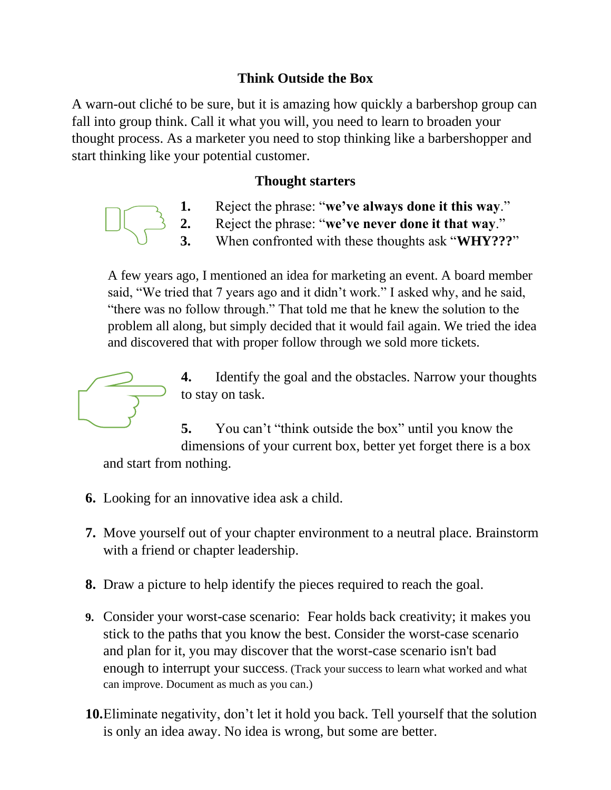### **Think Outside the Box**

A warn-out cliché to be sure, but it is amazing how quickly a barbershop group can fall into group think. Call it what you will, you need to learn to broaden your thought process. As a marketer you need to stop thinking like a barbershopper and start thinking like your potential customer.

#### **Thought starters**

- **1.** Reject the phrase: "**we've always done it this way**."
- **2.** Reject the phrase: "**we've never done it that way**."
	- **3.** When confronted with these thoughts ask "**WHY???**"

A few years ago, I mentioned an idea for marketing an event. A board member said, "We tried that 7 years ago and it didn't work." I asked why, and he said, "there was no follow through." That told me that he knew the solution to the problem all along, but simply decided that it would fail again. We tried the idea and discovered that with proper follow through we sold more tickets.



**4.** Identify the goal and the obstacles. Narrow your thoughts to stay on task.

**5.** You can't "think outside the box" until you know the dimensions of your current box, better yet forget there is a box and start from nothing.

- **6.** Looking for an innovative idea ask a child.
- **7.** Move yourself out of your chapter environment to a neutral place. Brainstorm with a friend or chapter leadership.
- **8.** Draw a picture to help identify the pieces required to reach the goal.
- **9.** Consider your worst-case scenario: Fear holds back creativity; it makes you stick to the paths that you know the best. Consider the worst-case scenario and plan for it, you may discover that the worst-case scenario isn't bad enough to interrupt your success. (Track your success to learn what worked and what can improve. Document as much as you can.)
- **10.**Eliminate negativity, don't let it hold you back. Tell yourself that the solution is only an idea away. No idea is wrong, but some are better.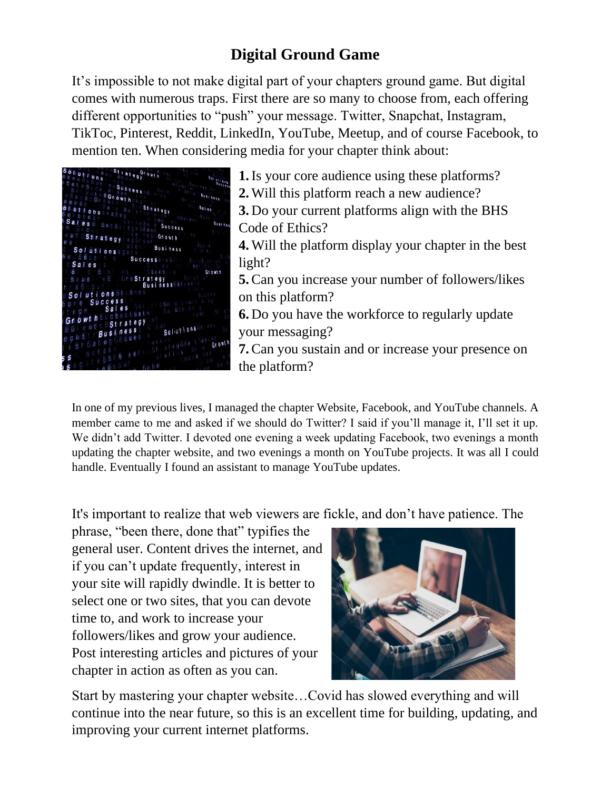# **Digital Ground Game**

It's impossible to not make digital part of your chapters ground game. But digital comes with numerous traps. First there are so many to choose from, each offering different opportunities to "push" your message. Twitter, Snapchat, Instagram, TikToc, Pinterest, Reddit, LinkedIn, YouTube, Meetup, and of course Facebook, to mention ten. When considering media for your chapter think about:



**1.**Is your core audience using these platforms? **2.** Will this platform reach a new audience? **3.** Do your current platforms align with the BHS Code of Ethics? **4.** Will the platform display your chapter in the best light? **5.**Can you increase your number of followers/likes on this platform? **6.** Do you have the workforce to regularly update your messaging? **7.**Can you sustain and or increase your presence on the platform?

In one of my previous lives, I managed the chapter Website, Facebook, and YouTube channels. A member came to me and asked if we should do Twitter? I said if you'll manage it, I'll set it up. We didn't add Twitter. I devoted one evening a week updating Facebook, two evenings a month updating the chapter website, and two evenings a month on YouTube projects. It was all I could handle. Eventually I found an assistant to manage YouTube updates.

It's important to realize that web viewers are fickle, and don't have patience. The

phrase, "been there, done that" typifies the general user. Content drives the internet, and if you can't update frequently, interest in your site will rapidly dwindle. It is better to select one or two sites, that you can devote time to, and work to increase your followers/likes and grow your audience. Post interesting articles and pictures of your chapter in action as often as you can.



Start by mastering your chapter website…Covid has slowed everything and will continue into the near future, so this is an excellent time for building, updating, and improving your current internet platforms.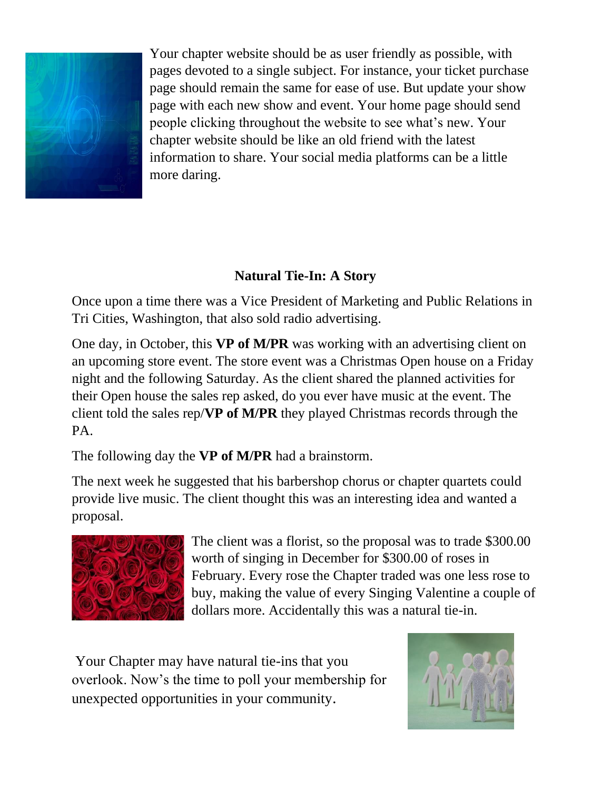

Your chapter website should be as user friendly as possible, with pages devoted to a single subject. For instance, your ticket purchase page should remain the same for ease of use. But update your show page with each new show and event. Your home page should send people clicking throughout the website to see what's new. Your chapter website should be like an old friend with the latest information to share. Your social media platforms can be a little more daring.

# **Natural Tie-In: A Story**

Once upon a time there was a Vice President of Marketing and Public Relations in Tri Cities, Washington, that also sold radio advertising.

One day, in October, this **VP of M/PR** was working with an advertising client on an upcoming store event. The store event was a Christmas Open house on a Friday night and the following Saturday. As the client shared the planned activities for their Open house the sales rep asked, do you ever have music at the event. The client told the sales rep/**VP of M/PR** they played Christmas records through the PA.

The following day the **VP of M/PR** had a brainstorm.

The next week he suggested that his barbershop chorus or chapter quartets could provide live music. The client thought this was an interesting idea and wanted a proposal.



The client was a florist, so the proposal was to trade \$300.00 worth of singing in December for \$300.00 of roses in February. Every rose the Chapter traded was one less rose to buy, making the value of every Singing Valentine a couple of dollars more. Accidentally this was a natural tie-in.

Your Chapter may have natural tie-ins that you overlook. Now's the time to poll your membership for unexpected opportunities in your community.